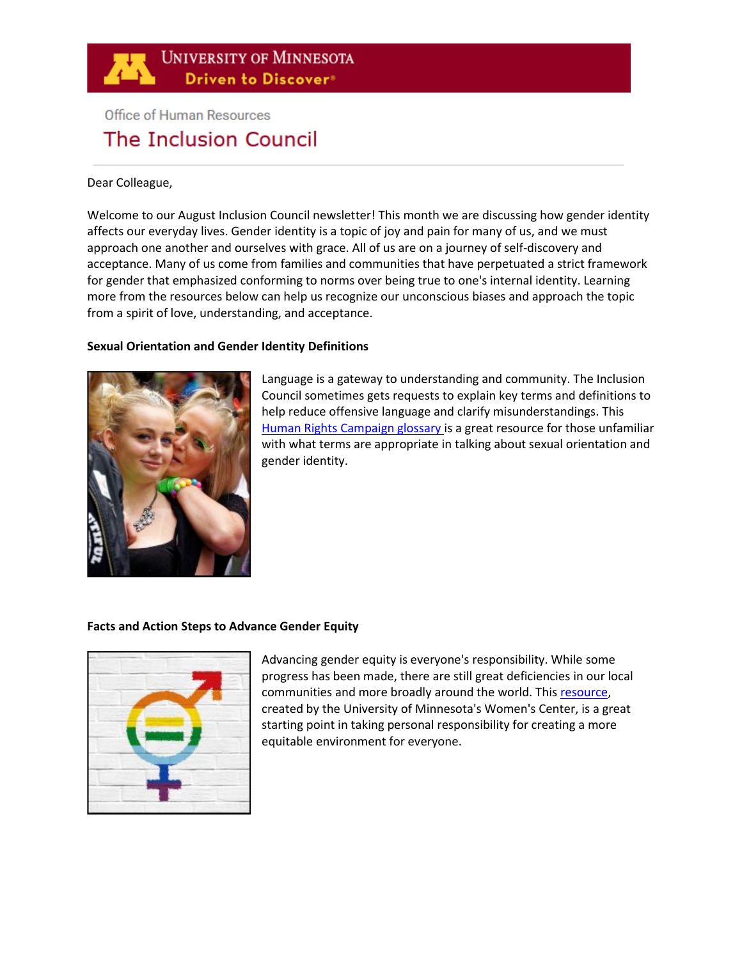

# **Office of Human Resources** The Inclusion Council

### Dear Colleague,

Welcome to our August Inclusion Council newsletter! This month we are discussing how gender identity affects our everyday lives. Gender identity is a topic of joy and pain for many of us, and we must approach one another and ourselves with grace. All of us are on a journey of self-discovery and acceptance. Many of us come from families and communities that have perpetuated a strict framework for gender that emphasized conforming to norms over being true to one's internal identity. Learning more from the resources below can help us recognize our unconscious biases and approach the topic from a spirit of love, understanding, and acceptance.

# **Sexual Orientation [and Gender Identity Definitions](https://www.hrc.org/resources/glossary-of-terms)**



Language is a gateway to understanding and community. The Inclusion Council sometimes gets requests to explain key terms and definitions to help reduce offensive language and clarify misunderstandings. This [Human Rights Campaign glossary i](https://www.hrc.org/resources/glossary-of-terms)s a great resource for those unfamiliar with what terms are appropriate in talking about sexual orientation and gender identity.

# **[Facts and Action Steps to Advance Gender Equity](https://womenscenter.umn.edu/facts-and-action-steps-advance-gender-equity)**



Advancing gender equity is everyone's responsibility. While some progress has been made, there are still great deficiencies in our local communities and more broadly around the world. Thi[s resource,](https://womenscenter.umn.edu/facts-and-action-steps-advance-gender-equity) created by the University of Minnesota's Women's Center, is a great starting point in taking personal responsibility for creating a more equitable environment for everyone.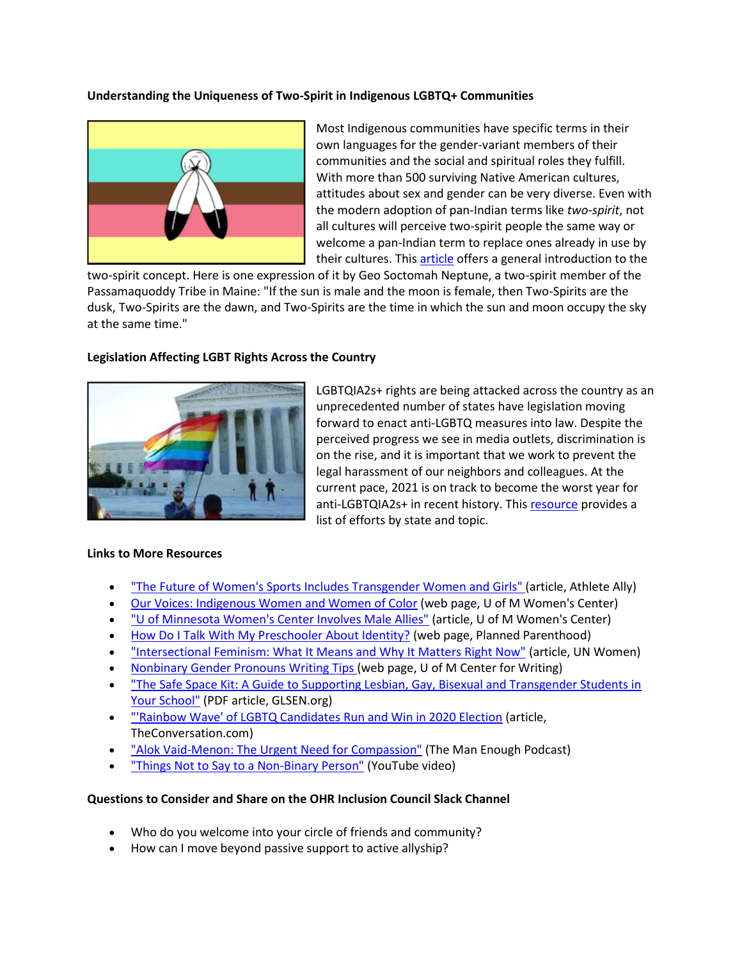# **[Understanding the Uniqueness of Two-Spirit in Indigenous LGBTQ+ Communities](https://www.shl.com/en/blog/understanding-two-spirit-in-indigenous-lgbtq-communities/)**



Most Indigenous communities have specific terms in their own languages for the gender-variant members of their communities and the social and spiritual roles they fulfill. With more than 500 surviving Native American cultures, attitudes about sex and gender can be very diverse. Even with the modern adoption of pan-Indian terms like *two-spirit*, not all cultures will perceive two-spirit people the same way or welcome a pan-Indian term to replace ones already in use by their cultures. Thi[s article](https://www.shl.com/en/blog/understanding-two-spirit-in-indigenous-lgbtq-communities/) offers a general introduction to the

two-spirit concept. Here is one expression of it by Geo Soctomah Neptune, a two-spirit member of the Passamaquoddy Tribe in Maine: "If the sun is male and the moon is female, then Two-Spirits are the dusk, Two-Spirits are the dawn, and Two-Spirits are the time in which the sun and moon occupy the sky at the same time."

#### **[Legislation Affecting LGBT Rights Across the Country](https://www.aclu.org/legislation-affecting-lgbt-rights-across-country)**



LGBTQIA2s+ rights are being attacked across the country as an unprecedented number of states have legislation moving forward to enact anti-LGBTQ measures into law. Despite the perceived progress we see in media outlets, discrimination is on the rise, and it is important that we work to prevent the legal harassment of our neighbors and colleagues. At the current pace, 2021 is on track to become the worst year for anti-LGBTQIA2s+ in recent history. Thi[s resource](https://www.aclu.org/legislation-affecting-lgbt-rights-across-country) provides a list of efforts by state and topic.

#### **Links to More Resources**

- ["The Future of Women's Sports Includes Transgender Women and Girls" \(](https://www.athleteally.org/future-womens-sport-includes-trans-women-girls/)article, Athlete Ally)
- [Our Voices: Indigenous Women and Women of Color](https://womenscenter.umn.edu/events-programs/our-voices-indigenous-women-and-women-color) (web page, U of M Women's Center)
- ["U of Minnesota Women's Center Involves Male Allies"](http://womenscenter.umn.edu/sites/womenscenter.dl.umn.edu/files/uwm_womens_center_wihe_may_2012.pdf) (article, U of M Women's Center)
- [How Do I Talk With My Preschooler About Identity?](https://www.plannedparenthood.org/learn/parents/preschool/how-do-i-talk-with-my-preschooler-about-identity) (web page, Planned Parenthood)
- ["Intersectional Feminism: What It Means and Why It Matters Right Now"](https://www.unwomen.org/en/news/stories/2020/6/explainer-intersectional-feminism-what-it-means-and-why-it-matters) (article, UN Women)
- [Nonbinary Gender Pronouns Writing Tips \(](http://writing.umn.edu/sws/quickhelp/grammar/nonbinary.html)web page, U of M Center for Writing)
- ["The Safe Space Kit: A Guide to Supporting Lesbian, Gay, Bisexual and Transgender Students in](https://www.glsen.org/sites/default/files/GLSEN%20Safe%20Space%20Kit.pdf)  [Your School"](https://www.glsen.org/sites/default/files/GLSEN%20Safe%20Space%20Kit.pdf) (PDF article, GLSEN.org)
- ["'Rainbow Wave' of LGBTQ Candidates Run and Win in 2020 Election](https://theconversation.com/rainbow-wave-of-lgbtq-candidates-run-and-win-in-2020-election-149066) (article, TheConversation.com)
- ["Alok Vaid-Menon: The Urgent Need for Compassion"](https://be.manenough.com/alok) (The Man Enough Podcast)
- ["Things Not to Say to a Non-Binary Person"](https://www.youtube.com/watch?v=8b4MZjMVgdk) (YouTube video)

# **Questions to Consider and Share on the [OHR Inclusion Council Slack Channel](https://app.slack.com/client/T016T4MRDPH/C0176FHCHBP)**

- Who do you welcome into your circle of friends and community?
- How can I move beyond passive support to active allyship?